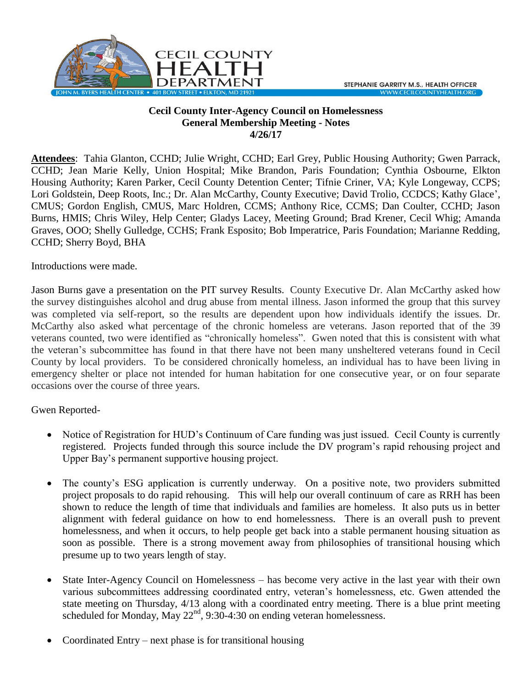

## **Cecil County Inter-Agency Council on Homelessness General Membership Meeting - Notes 4/26/17**

**Attendees**: Tahia Glanton, CCHD; Julie Wright, CCHD; Earl Grey, Public Housing Authority; Gwen Parrack, CCHD; Jean Marie Kelly, Union Hospital; Mike Brandon, Paris Foundation; Cynthia Osbourne, Elkton Housing Authority; Karen Parker, Cecil County Detention Center; Tifnie Criner, VA; Kyle Longeway, CCPS; Lori Goldstein, Deep Roots, Inc.; Dr. Alan McCarthy, County Executive; David Trolio, CCDCS; Kathy Glace', CMUS; Gordon English, CMUS, Marc Holdren, CCMS; Anthony Rice, CCMS; Dan Coulter, CCHD; Jason Burns, HMIS; Chris Wiley, Help Center; Gladys Lacey, Meeting Ground; Brad Krener, Cecil Whig; Amanda Graves, OOO; Shelly Gulledge, CCHS; Frank Esposito; Bob Imperatrice, Paris Foundation; Marianne Redding, CCHD; Sherry Boyd, BHA

Introductions were made.

Jason Burns gave a presentation on the PIT survey Results. County Executive Dr. Alan McCarthy asked how the survey distinguishes alcohol and drug abuse from mental illness. Jason informed the group that this survey was completed via self-report, so the results are dependent upon how individuals identify the issues. Dr. McCarthy also asked what percentage of the chronic homeless are veterans. Jason reported that of the 39 veterans counted, two were identified as "chronically homeless". Gwen noted that this is consistent with what the veteran's subcommittee has found in that there have not been many unsheltered veterans found in Cecil County by local providers. To be considered chronically homeless, an individual has to have been living in emergency shelter or place not intended for human habitation for one consecutive year, or on four separate occasions over the course of three years.

Gwen Reported-

- Notice of Registration for HUD's Continuum of Care funding was just issued. Cecil County is currently registered. Projects funded through this source include the DV program's rapid rehousing project and Upper Bay's permanent supportive housing project.
- The county's ESG application is currently underway. On a positive note, two providers submitted project proposals to do rapid rehousing. This will help our overall continuum of care as RRH has been shown to reduce the length of time that individuals and families are homeless. It also puts us in better alignment with federal guidance on how to end homelessness. There is an overall push to prevent homelessness, and when it occurs, to help people get back into a stable permanent housing situation as soon as possible. There is a strong movement away from philosophies of transitional housing which presume up to two years length of stay.
- State Inter-Agency Council on Homelessness has become very active in the last year with their own various subcommittees addressing coordinated entry, veteran's homelessness, etc. Gwen attended the state meeting on Thursday, 4/13 along with a coordinated entry meeting. There is a blue print meeting scheduled for Monday, May  $22<sup>nd</sup>$ , 9:30-4:30 on ending veteran homelessness.
- Coordinated Entry next phase is for transitional housing